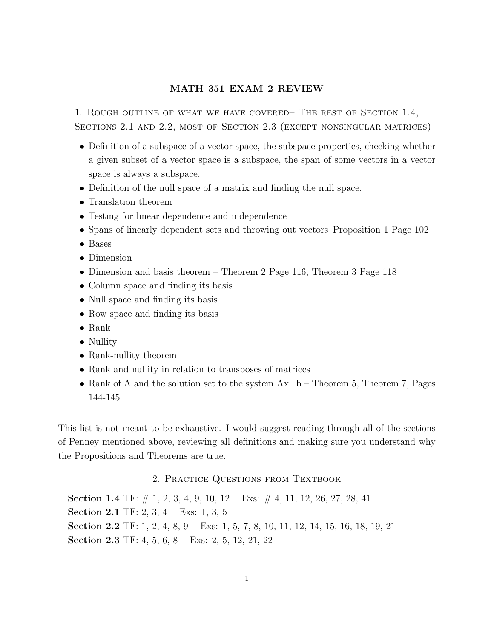## MATH 351 EXAM 2 REVIEW

1. Rough outline of what we have covered– The rest of Section 1.4, Sections 2.1 and 2.2, most of Section 2.3 (except nonsingular matrices)

- Definition of a subspace of a vector space, the subspace properties, checking whether a given subset of a vector space is a subspace, the span of some vectors in a vector space is always a subspace.
- Definition of the null space of a matrix and finding the null space.
- Translation theorem
- Testing for linear dependence and independence
- Spans of linearly dependent sets and throwing out vectors–Proposition 1 Page 102
- Bases
- Dimension
- Dimension and basis theorem Theorem 2 Page 116, Theorem 3 Page 118
- Column space and finding its basis
- Null space and finding its basis
- Row space and finding its basis
- Rank
- Nullity
- Rank-nullity theorem
- Rank and nullity in relation to transposes of matrices
- Rank of A and the solution set to the system  $Ax=b$  Theorem 5, Theorem 7, Pages 144-145

This list is not meant to be exhaustive. I would suggest reading through all of the sections of Penney mentioned above, reviewing all definitions and making sure you understand why the Propositions and Theorems are true.

## 2. PRACTICE QUESTIONS FROM TEXTBOOK

Section 1.4 TF:  $\#$  1, 2, 3, 4, 9, 10, 12 Exs:  $\#$  4, 11, 12, 26, 27, 28, 41 Section 2.1 TF: 2, 3, 4 Exs: 1, 3, 5 Section 2.2 TF: 1, 2, 4, 8, 9 Exs: 1, 5, 7, 8, 10, 11, 12, 14, 15, 16, 18, 19, 21 Section 2.3 TF: 4, 5, 6, 8 Exs: 2, 5, 12, 21, 22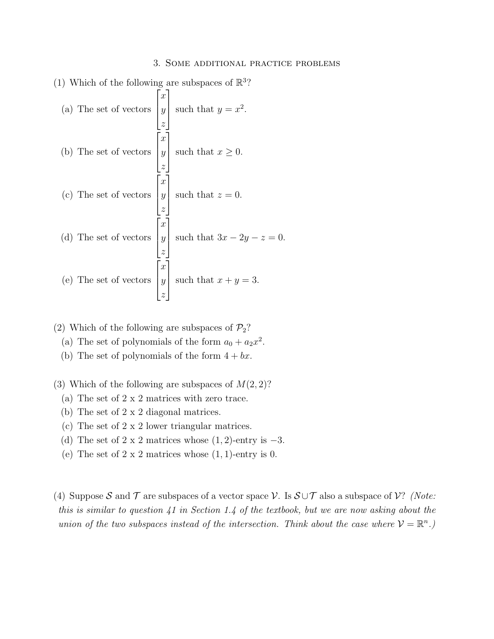(1) Which of the following are subspaces of 
$$
\mathbb{R}^3
$$
?

\n(a) The set of vectors  $\begin{bmatrix} x \\ y \\ z \end{bmatrix}$  such that  $y = x^2$ .

\n(b) The set of vectors  $\begin{bmatrix} x \\ y \\ z \end{bmatrix}$  such that  $x \ge 0$ .

\n(c) The set of vectors  $\begin{bmatrix} x \\ y \\ z \end{bmatrix}$  such that  $z = 0$ .

\n(d) The set of vectors  $\begin{bmatrix} x \\ y \\ z \end{bmatrix}$  such that  $3x - 2y - z = 0$ .

\n(e) The set of vectors  $\begin{bmatrix} x \\ y \\ z \end{bmatrix}$  such that  $x + y = 3$ .

- (2) Which of the following are subspaces of  $\mathcal{P}_2$ ?
	- (a) The set of polynomials of the form  $a_0 + a_2x^2$ .
	- (b) The set of polynomials of the form  $4 + bx$ .
- (3) Which of the following are subspaces of  $M(2, 2)$ ?
	- (a) The set of 2 x 2 matrices with zero trace.
	- (b) The set of 2 x 2 diagonal matrices.
	- (c) The set of 2 x 2 lower triangular matrices.
	- (d) The set of 2 x 2 matrices whose  $(1, 2)$ -entry is  $-3$ .
	- (e) The set of  $2 \times 2$  matrices whose  $(1, 1)$ -entry is 0.
- (4) Suppose S and T are subspaces of a vector space V. Is  $S \cup T$  also a subspace of V? (Note: this is similar to question 41 in Section 1.4 of the textbook, but we are now asking about the union of the two subspaces instead of the intersection. Think about the case where  $V = \mathbb{R}^n$ .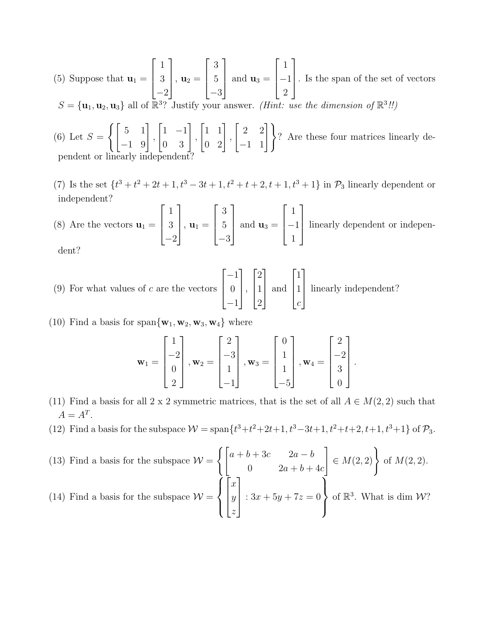- (5) Suppose that  $\mathbf{u}_1 =$  $\sqrt{ }$  $\overline{\phantom{a}}$ 1 3 −2 1  $\Big\vert \,,\, {\bf u}_2 =$  $\lceil$  $\overline{\phantom{a}}$ 3 5 −3 1  $\overline{\phantom{a}}$ and  $\mathbf{u}_3 =$  $\sqrt{ }$  $\overline{\phantom{a}}$ 1 −1 2 1 . Is the span of the set of vectors  $S = {\mathbf{u}_1, \mathbf{u}_2, \mathbf{u}_3}$  all of  $\mathbb{R}^3$ ? Justify your answer. (*Hint: use the dimension of*  $\mathbb{R}^3$ !!)
- $(6)$  Let  $S=$  $\left\{ \begin{bmatrix} 5 & 1 \\ -1 & 9 \end{bmatrix} \right\}$ ,  $\begin{bmatrix} 1 & -1 \\ 0 & 3 \end{bmatrix}$ ,  $\begin{bmatrix} 1 & 1 \\ 0 & 2 \end{bmatrix}$ ,  $\begin{bmatrix} 2 & 2 \\ -1 & 1 \end{bmatrix}$ ? Are these four matrices linearly dependent or linearly independent?
- (7) Is the set  $\{t^3 + t^2 + 2t + 1, t^3 3t + 1, t^2 + t + 2, t + 1, t^3 + 1\}$  in  $\mathcal{P}_3$  linearly dependent or independent?

(8) Are the vectors  $\mathbf{u}_1 =$  $\lceil$  $\overline{\phantom{a}}$ 1 3 −2 1  $\Big\vert \,,\, {\bf u}_1 =$  $\sqrt{ }$  $\overline{\phantom{a}}$ 3 5 −3 1  $\overline{\phantom{a}}$ and  $\mathbf{u}_3 =$  $\lceil$  $\overline{\phantom{a}}$ 1 −1 1 1 linearly dependent or independent?

- $(9)$  For what values of c are the vectors  $\lceil$  $\overline{\phantom{a}}$ −1 0 −1 1  $\vert \cdot$  $\lceil$  $\overline{\phantom{a}}$ 2 1 2 1  $\overline{\phantom{a}}$ and  $\sqrt{ }$  $\overline{\phantom{a}}$ 1 1 c 1 | linearly independent?
- (10) Find a basis for span $\{w_1, w_2, w_3, w_4\}$  where

$$
\mathbf{w}_1 = \begin{bmatrix} 1 \\ -2 \\ 0 \\ 2 \end{bmatrix}, \mathbf{w}_2 = \begin{bmatrix} 2 \\ -3 \\ 1 \\ -1 \end{bmatrix}, \mathbf{w}_3 = \begin{bmatrix} 0 \\ 1 \\ 1 \\ -5 \end{bmatrix}, \mathbf{w}_4 = \begin{bmatrix} 2 \\ -2 \\ 3 \\ 0 \end{bmatrix}.
$$

- (11) Find a basis for all 2 x 2 symmetric matrices, that is the set of all  $A \in M(2, 2)$  such that  $A = A^T$ .
- (12) Find a basis for the subspace  $W = \text{span}\{t^3 + t^2 + 2t + 1, t^3 3t + 1, t^2 + t + 2, t + 1, t^3 + 1\}$  of  $\mathcal{P}_3$ .
- (13) Find a basis for the subspace  $\mathcal{W} =$  $\int\int a + b + 3c \qquad 2a - b$ 0  $2a + b + 4c$  $\Big] \in M(2,2)$  of  $M(2,2)$ . (14) Find a basis for the subspace  $\mathcal{W} =$  $\sqrt{ }$  $\int$  $\overline{\mathcal{L}}$  $\sqrt{ }$  $\vert$  $\boldsymbol{x}$  $\hat{y}$ z 1  $\parallel$ :  $3x + 5y + 7z = 0$  $\mathcal{L}$  $\left\{ \right.$  $\int$ of  $\mathbb{R}^3$ . What is dim  $W$ ?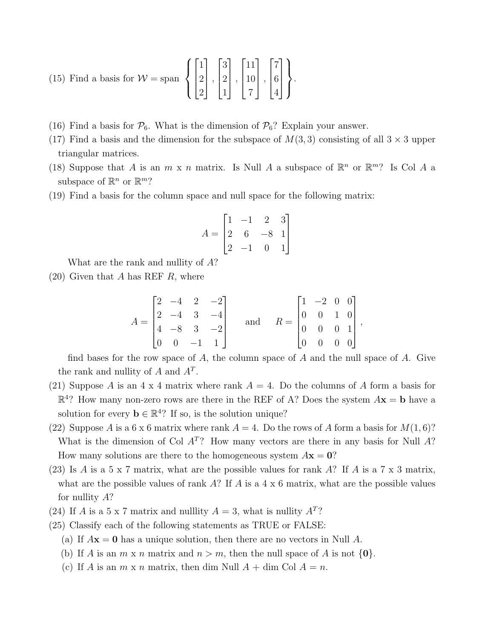(15) Find a basis for 
$$
W = \text{span}\left\{ \begin{bmatrix} 1 \\ 2 \\ 2 \end{bmatrix}, \begin{bmatrix} 3 \\ 2 \\ 1 \end{bmatrix}, \begin{bmatrix} 11 \\ 10 \\ 7 \end{bmatrix}, \begin{bmatrix} 7 \\ 6 \\ 4 \end{bmatrix} \right\}.
$$

- (16) Find a basis for  $\mathcal{P}_6$ . What is the dimension of  $\mathcal{P}_6$ ? Explain your answer.
- (17) Find a basis and the dimension for the subspace of  $M(3,3)$  consisting of all  $3 \times 3$  upper triangular matrices.
- (18) Suppose that A is an  $m \times n$  matrix. Is Null A a subspace of  $\mathbb{R}^n$  or  $\mathbb{R}^m$ ? Is Col A a subspace of  $\mathbb{R}^n$  or  $\mathbb{R}^m$ ?
- (19) Find a basis for the column space and null space for the following matrix:

$$
A = \begin{bmatrix} 1 & -1 & 2 & 3 \\ 2 & 6 & -8 & 1 \\ 2 & -1 & 0 & 1 \end{bmatrix}
$$

What are the rank and nullity of A?

 $(20)$  Given that A has REF R, where

$$
A = \begin{bmatrix} 2 & -4 & 2 & -2 \\ 2 & -4 & 3 & -4 \\ 4 & -8 & 3 & -2 \\ 0 & 0 & -1 & 1 \end{bmatrix} \quad \text{and} \quad R = \begin{bmatrix} 1 & -2 & 0 & 0 \\ 0 & 0 & 1 & 0 \\ 0 & 0 & 0 & 1 \\ 0 & 0 & 0 & 0 \end{bmatrix},
$$

find bases for the row space of A, the column space of A and the null space of A. Give the rank and nullity of  $A$  and  $A<sup>T</sup>$ .

- (21) Suppose A is an  $4 \times 4$  matrix where rank  $A = 4$ . Do the columns of A form a basis for  $\mathbb{R}^4$ ? How many non-zero rows are there in the REF of A? Does the system  $A\mathbf{x} = \mathbf{b}$  have a solution for every  $\mathbf{b} \in \mathbb{R}^{4}$ ? If so, is the solution unique?
- (22) Suppose A is a 6 x 6 matrix where rank  $A = 4$ . Do the rows of A form a basis for  $M(1, 6)$ ? What is the dimension of Col  $A<sup>T</sup>$ ? How many vectors are there in any basis for Null A? How many solutions are there to the homogeneous system  $A\mathbf{x} = \mathbf{0}$ ?
- (23) Is A is a 5 x 7 matrix, what are the possible values for rank A? If A is a 7 x 3 matrix, what are the possible values of rank  $A$ ? If  $A$  is a 4 x 6 matrix, what are the possible values for nullity A?
- (24) If A is a 5 x 7 matrix and nulllity  $A = 3$ , what is nullity  $A<sup>T</sup>$ ?
- (25) Classify each of the following statements as TRUE or FALSE:
	- (a) If  $A\mathbf{x} = \mathbf{0}$  has a unique solution, then there are no vectors in Null A.
	- (b) If A is an  $m \times n$  matrix and  $n > m$ , then the null space of A is not  $\{0\}$ .
	- (c) If A is an  $m \times n$  matrix, then dim Null  $A + \dim$  Col  $A = n$ .